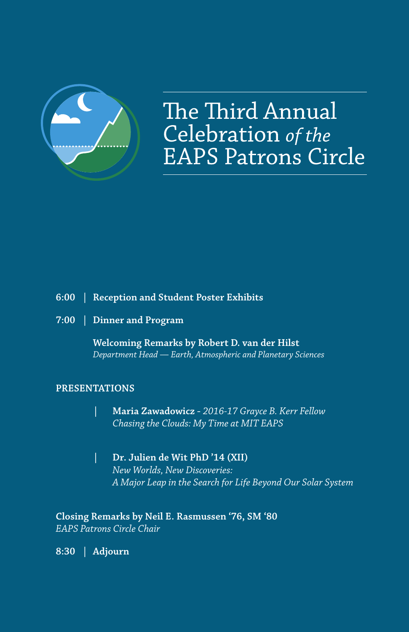

The Third Annual Celebration of the **EAPS Patrons Circle** 

## **6:00 | Reception and Student Poster Exhibits**

**7:00 | Dinner and Program**

**Welcoming Remarks by Robert D. van der Hilst** *Department Head — Earth, Atmospheric and Planetary Sciences*

## **PRESENTATIONS**

- **| Maria Zawadowicz** *2016-17 Grayce B. Kerr Fellow Chasing the Clouds: My Time at MIT EAPS*
- **| Dr. Julien de Wit PhD '14 (XII)** *New Worlds, New Discoveries: A Major Leap in the Search for Life Beyond Our Solar System*

**Closing Remarks by Neil E. Rasmussen '76, SM '80** *EAPS Patrons Circle Chair*

**8:30 | Adjourn**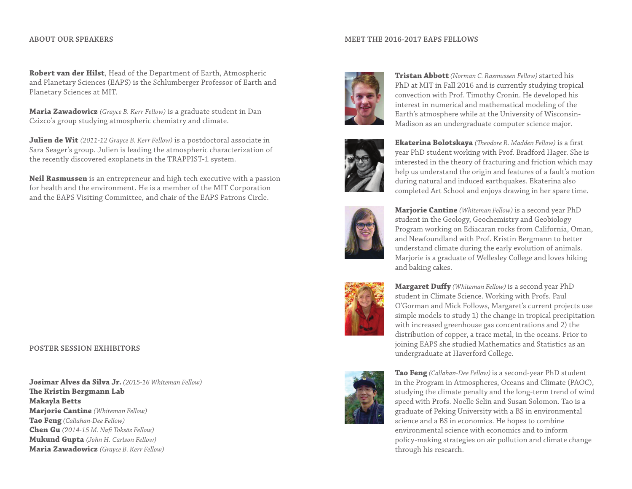#### **ABOUT OUR SPEAKERS**

### **MEET THE 2016-2017 EAPS FELLOWS**

**Robert van der Hilst**, Head of the Department of Earth, Atmospheric and Planetary Sciences (EAPS) is the Schlumberger Professor of Earth and Planetary Sciences at MIT.

**Maria Zawadowicz** *(Grayce B. Kerr Fellow)* is a graduate student in Dan Czizco's group studying atmospheric chemistry and climate.

**Julien de Wit** *(2011-12 Grayce B. Kerr Fellow)* is a postdoctoral associate in Sara Seager's group. Julien is leading the atmospheric characterization of the recently discovered exoplanets in the TRAPPIST-1 system.

**Neil Rasmussen** is an entrepreneur and high tech executive with a passion for health and the environment. He is a member of the MIT Corporation and the EAPS Visiting Committee, and chair of the EAPS Patrons Circle.

## **POSTER SESSION EXHIBITORS**

**Josimar Alves da Silva Jr.** *(2015-16 Whiteman Fellow)* **The Kristin Bergmann Lab Makayla Betts Marjorie Cantine** *(Whiteman Fellow)*  **Tao Feng** *(Callahan-Dee Fellow)* **Chen Gu** *(2014-15 M. Nafi Toksöz Fellow)* **Mukund Gupta** *(John H. Carlson Fellow)* **Maria Zawadowicz** *(Grayce B. Kerr Fellow)*



**Tristan Abbott** *(Norman C. Rasmussen Fellow)* started his PhD at MIT in Fall 2016 and is currently studying tropical convection with Prof. Timothy Cronin. He developed his interest in numerical and mathematical modeling of the Earth's atmosphere while at the University of Wisconsin-Madison as an undergraduate computer science major.



**Ekaterina Bolotskaya** *(Theodore R. Madden Fellow)* is a first year PhD student working with Prof. Bradford Hager. She is interested in the theory of fracturing and friction which may help us understand the origin and features of a fault's motion during natural and induced earthquakes. Ekaterina also completed Art School and enjoys drawing in her spare time.



**Marjorie Cantine** *(Whiteman Fellow)* is a second year PhD student in the Geology, Geochemistry and Geobiology Program working on Ediacaran rocks from California, Oman, and Newfoundland with Prof. Kristin Bergmann to better understand climate during the early evolution of animals. Marjorie is a graduate of Wellesley College and loves hiking and baking cakes.



**Margaret Duffy** *(Whiteman Fellow)* is a second year PhD student in Climate Science. Working with Profs. Paul O'Gorman and Mick Follows, Margaret's current projects use simple models to study 1) the change in tropical precipitation with increased greenhouse gas concentrations and 2) the distribution of copper, a trace metal, in the oceans. Prior to joining EAPS she studied Mathematics and Statistics as an undergraduate at Haverford College.



**Tao Feng** *(Callahan-Dee Fellow)* is a second-year PhD student in the Program in Atmospheres, Oceans and Climate (PAOC), studying the climate penalty and the long-term trend of wind speed with Profs. Noelle Selin and Susan Solomon. Tao is a graduate of Peking University with a BS in environmental science and a BS in economics. He hopes to combine environmental science with economics and to inform policy-making strategies on air pollution and climate change through his research.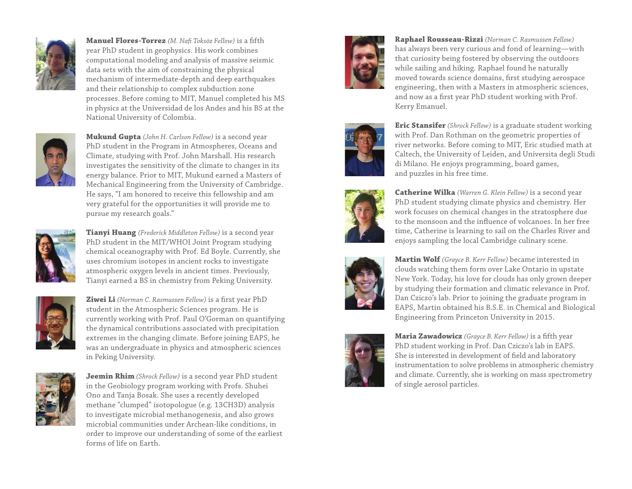

**Manuel Flores-Torrez** *(M. Nafi Toksöz Fellow)* is a fifth year PhD student in geophysics. His work combines computational modeling and analysis of massive seismic data sets with the aim of constraining the physical mechanism of intermediate-depth and deep earthquakes and their relationship to complex subduction zone processes. Before coming to MIT, Manuel completed his MS in physics at the Universidad de los Andes and his BS at the National University of Colombia.



**Mukund Gupta** *(John H. Carlson Fellow)* is a second year PhD student in the Program in Atmospheres, Oceans and Climate, studying with Prof. John Marshall. His research investigates the sensitivity of the climate to changes in its energy balance. Prior to MIT, Mukund earned a Masters of Mechanical Engineering from the University of Cambridge. He says, "I am honored to receive this fellowship and am very grateful for the opportunities it will provide me to pursue my research goals."



**Tianyi Huang** *(Frederick Middleton Fellow)* is a second year PhD student in the MIT/WHOI Joint Program studying chemical oceanography with Prof. Ed Boyle. Currently, she uses chromium isotopes in ancient rocks to investigate atmospheric oxygen levels in ancient times. Previously, Tianyi earned a BS in chemistry from Peking University.



**Ziwei Li** *(Norman C. Rasmussen Fellow)* is a first year PhD student in the Atmospheric Sciences program. He is currently working with Prof. Paul O'Gorman on quantifying the dynamical contributions associated with precipitation extremes in the changing climate. Before joining EAPS, he was an undergraduate in physics and atmospheric sciences in Peking University.



**Jeemin Rhim** *(Shrock Fellow)* is a second year PhD student in the Geobiology program working with Profs. Shuhei Ono and Tanja Bosak. She uses a recently developed methane "clumped" isotopologue (e.g. 13CH3D) analysis to investigate microbial methanogenesis, and also grows microbial communities under Archean-like conditions, in order to improve our understanding of some of the earliest forms of life on Earth.



**Raphael Rousseau-Rizzi** *(Norman C. Rasmussen Fellow)* has always been very curious and fond of learning—with that curiosity being fostered by observing the outdoors while sailing and hiking. Raphael found he naturally moved towards science domains, first studying aerospace engineering, then with a Masters in atmospheric sciences, and now as a first year PhD student working with Prof. Kerry Emanuel.



**Eric Stansifer** *(Shrock Fellow)* is a graduate student working with Prof. Dan Rothman on the geometric properties of river networks. Before coming to MIT, Eric studied math at Caltech, the University of Leiden, and Universita degli Studi di Milano. He enjoys programming, board games, and puzzles in his free time.



**Catherine Wilka** *(Warren G. Klein Fellow)* is a second year PhD student studying climate physics and chemistry. Her work focuses on chemical changes in the stratosphere due to the monsoon and the influence of volcanoes. In her free time, Catherine is learning to sail on the Charles River and enjoys sampling the local Cambridge culinary scene.



**Martin Wolf** *(Grayce B. Kerr Fellow)* became interested in clouds watching them form over Lake Ontario in upstate New York. Today, his love for clouds has only grown deeper by studying their formation and climatic relevance in Prof. Dan Cziczo's lab. Prior to joining the graduate program in EAPS, Martin obtained his B.S.E. in Chemical and Biological Engineering from Princeton University in 2015.



**Maria Zawadowicz** *(Grayce B. Kerr Fellow)* is a fifth year PhD student working in Prof. Dan Cziczo's lab in EAPS. She is interested in development of field and laboratory instrumentation to solve problems in atmospheric chemistry and climate. Currently, she is working on mass spectrometry of single aerosol particles.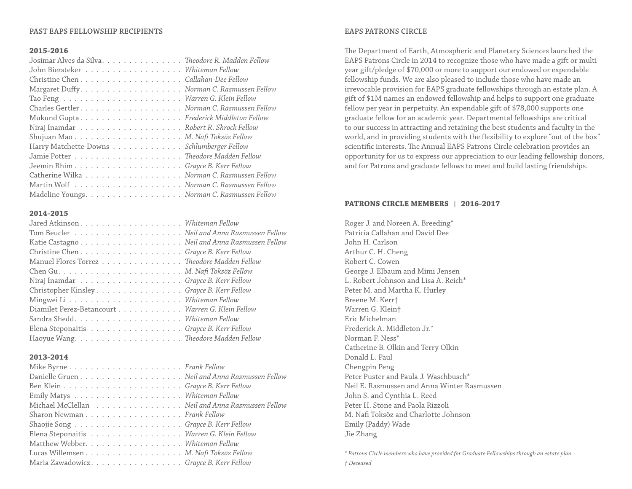## **PAST EAPS FELLOWSHIP RECIPIENTS**

### **2015-2016**

| Josimar Alves da Silva. Theodore R. Madden Fellow |
|---------------------------------------------------|
| John Biersteker Whiteman Fellow                   |
| Christine ChenCallahan-Dee Fellow                 |
|                                                   |
|                                                   |
|                                                   |
|                                                   |
|                                                   |
|                                                   |
| Harry Matchette-Downs Schlumberger Fellow         |
|                                                   |
|                                                   |
| Catherine Wilka Norman C. Rasmussen Fellow        |
|                                                   |
| Madeline Youngs. Norman C. Rasmussen Fellow       |

## **2014-2015**

| Christine ChenGrayce B. Kerr Fellow              |  |
|--------------------------------------------------|--|
| Manuel Flores Torrez Theodore Madden Fellow      |  |
|                                                  |  |
|                                                  |  |
| Christopher Kinsley Grayce B. Kerr Fellow        |  |
|                                                  |  |
| Diamilet Perez-Betancourt Warren G. Klein Fellow |  |
|                                                  |  |
| Elena Steponaitis Grayce B. Kerr Fellow          |  |
|                                                  |  |
|                                                  |  |

## **2013-2014**

| Danielle Gruen Neil and Anna Rasmussen Fellow    |
|--------------------------------------------------|
|                                                  |
|                                                  |
| Michael McClellan Neil and Anna Rasmussen Fellow |
| Sharon Newman Frank Fellow                       |
|                                                  |
| Elena Steponaitis Warren G. Klein Fellow         |
| Matthew Webber. Whiteman Fellow                  |
| Lucas Willemsen M. Nafi Toksöz Fellow            |
| Maria ZawadowiczGrayce B. Kerr Fellow            |

## **EAPS PATRONS CIRCLE**

The Department of Earth, Atmospheric and Planetary Sciences launched the EAPS Patrons Circle in 2014 to recognize those who have made a gift or multiyear gift/pledge of \$70,000 or more to support our endowed or expendable fellowship funds. We are also pleased to include those who have made an irrevocable provision for EAPS graduate fellowships through an estate plan. A gift of \$1M names an endowed fellowship and helps to support one graduate fellow per year in perpetuity. An expendable gift of \$78,000 supports one graduate fellow for an academic year. Departmental fellowships are critical to our success in attracting and retaining the best students and faculty in the world, and in providing students with the flexibility to explore "out of the box" scientific interests. The Annual EAPS Patrons Circle celebration provides an opportunity for us to express our appreciation to our leading fellowship donors, and for Patrons and graduate fellows to meet and build lasting friendships.

## **PATRONS CIRCLE MEMBERS | 2016-2017**

Roger J. and Noreen A. Breeding\* Patricia Callahan and David Dee John H. Carlson Arthur C. H. Cheng Robert C. Cowen George J. Elbaum and Mimi Jensen L. Robert Johnson and Lisa A. Reich\* Peter M. and Martha K. Hurley Breene M. Kerr† Warren G. Klein† Eric Michelman Frederick A. Middleton Jr.\* Norman F. Ness\* Catherine B. Olkin and Terry Olkin Donald L. Paul Chengpin Peng Peter Puster and Paula J. Waschbusch\* Neil E. Rasmussen and Anna Winter Rasmussen John S. and Cynthia L. Reed Peter H. Stone and Paola Rizzoli M. Nafi Toksöz and Charlotte Johnson Emily (Paddy) Wade Jie Zhang

*\* Patrons Circle members who have provided for Graduate Fellowships through an estate plan. † Deceased*